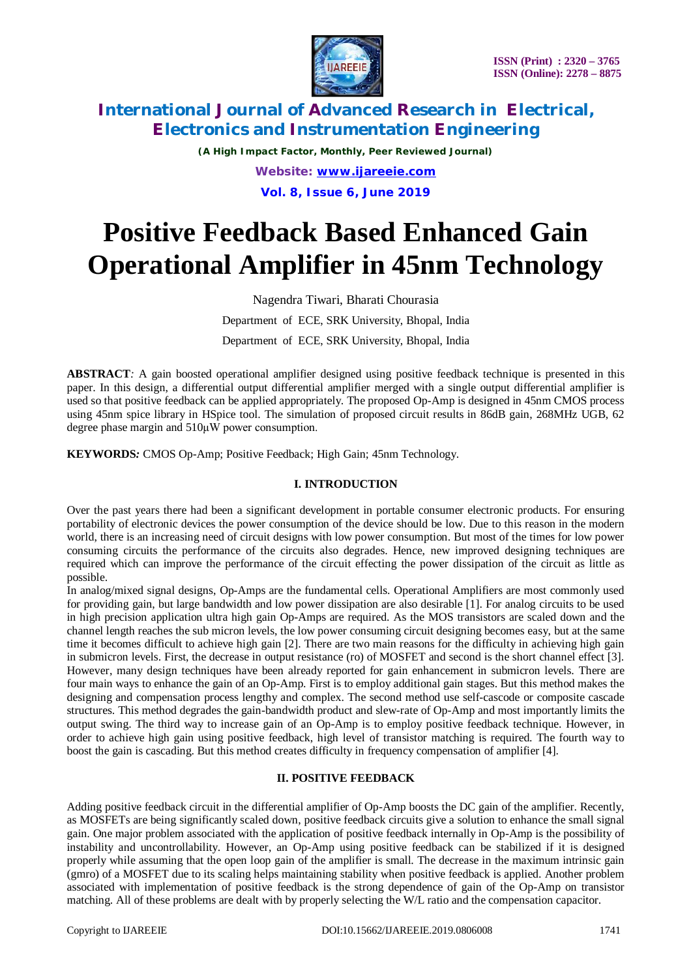

*(A High Impact Factor, Monthly, Peer Reviewed Journal) Website: [www.ijareeie.com](http://www.ijareeie.com)* **Vol. 8, Issue 6, June 2019**

# **Positive Feedback Based Enhanced Gain Operational Amplifier in 45nm Technology**

Nagendra Tiwari, Bharati Chourasia

Department of ECE, SRK University, Bhopal, India

Department of ECE, SRK University, Bhopal, India

**ABSTRACT***:* A gain boosted operational amplifier designed using positive feedback technique is presented in this paper. In this design, a differential output differential amplifier merged with a single output differential amplifier is used so that positive feedback can be applied appropriately. The proposed Op-Amp is designed in 45nm CMOS process using 45nm spice library in HSpice tool. The simulation of proposed circuit results in 86dB gain, 268MHz UGB, 62 degree phase margin and 510μW power consumption.

**KEYWORDS***:* CMOS Op-Amp; Positive Feedback; High Gain; 45nm Technology.

### **I. INTRODUCTION**

Over the past years there had been a significant development in portable consumer electronic products. For ensuring portability of electronic devices the power consumption of the device should be low. Due to this reason in the modern world, there is an increasing need of circuit designs with low power consumption. But most of the times for low power consuming circuits the performance of the circuits also degrades. Hence, new improved designing techniques are required which can improve the performance of the circuit effecting the power dissipation of the circuit as little as possible.

In analog/mixed signal designs, Op-Amps are the fundamental cells. Operational Amplifiers are most commonly used for providing gain, but large bandwidth and low power dissipation are also desirable [1]. For analog circuits to be used in high precision application ultra high gain Op-Amps are required. As the MOS transistors are scaled down and the channel length reaches the sub micron levels, the low power consuming circuit designing becomes easy, but at the same time it becomes difficult to achieve high gain [2]. There are two main reasons for the difficulty in achieving high gain in submicron levels. First, the decrease in output resistance (ro) of MOSFET and second is the short channel effect [3]. However, many design techniques have been already reported for gain enhancement in submicron levels. There are four main ways to enhance the gain of an Op-Amp. First is to employ additional gain stages. But this method makes the designing and compensation process lengthy and complex. The second method use self-cascode or composite cascade structures. This method degrades the gain-bandwidth product and slew-rate of Op-Amp and most importantly limits the output swing. The third way to increase gain of an Op-Amp is to employ positive feedback technique. However, in order to achieve high gain using positive feedback, high level of transistor matching is required. The fourth way to boost the gain is cascading. But this method creates difficulty in frequency compensation of amplifier [4].

#### **II. POSITIVE FEEDBACK**

Adding positive feedback circuit in the differential amplifier of Op-Amp boosts the DC gain of the amplifier. Recently, as MOSFETs are being significantly scaled down, positive feedback circuits give a solution to enhance the small signal gain. One major problem associated with the application of positive feedback internally in Op-Amp is the possibility of instability and uncontrollability. However, an Op-Amp using positive feedback can be stabilized if it is designed properly while assuming that the open loop gain of the amplifier is small. The decrease in the maximum intrinsic gain (gmro) of a MOSFET due to its scaling helps maintaining stability when positive feedback is applied. Another problem associated with implementation of positive feedback is the strong dependence of gain of the Op-Amp on transistor matching. All of these problems are dealt with by properly selecting the W/L ratio and the compensation capacitor.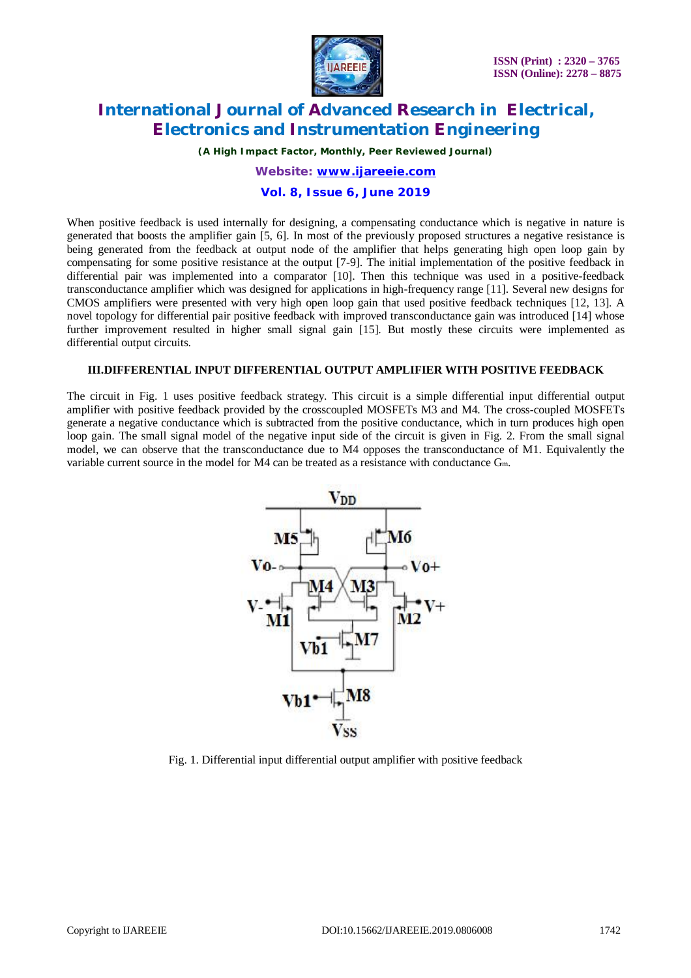

*(A High Impact Factor, Monthly, Peer Reviewed Journal)*

*Website: [www.ijareeie.com](http://www.ijareeie.com)*

### **Vol. 8, Issue 6, June 2019**

When positive feedback is used internally for designing, a compensating conductance which is negative in nature is generated that boosts the amplifier gain [5, 6]. In most of the previously proposed structures a negative resistance is being generated from the feedback at output node of the amplifier that helps generating high open loop gain by compensating for some positive resistance at the output [7-9]. The initial implementation of the positive feedback in differential pair was implemented into a comparator [10]. Then this technique was used in a positive-feedback transconductance amplifier which was designed for applications in high-frequency range [11]. Several new designs for CMOS amplifiers were presented with very high open loop gain that used positive feedback techniques [12, 13]. A novel topology for differential pair positive feedback with improved transconductance gain was introduced [14] whose further improvement resulted in higher small signal gain [15]. But mostly these circuits were implemented as differential output circuits.

#### **III.DIFFERENTIAL INPUT DIFFERENTIAL OUTPUT AMPLIFIER WITH POSITIVE FEEDBACK**

The circuit in Fig. 1 uses positive feedback strategy. This circuit is a simple differential input differential output amplifier with positive feedback provided by the crosscoupled MOSFETs M3 and M4. The cross-coupled MOSFETs generate a negative conductance which is subtracted from the positive conductance, which in turn produces high open loop gain. The small signal model of the negative input side of the circuit is given in Fig. 2. From the small signal model, we can observe that the transconductance due to M4 opposes the transconductance of M1. Equivalently the variable current source in the model for M4 can be treated as a resistance with conductance Gm.



Fig. 1. Differential input differential output amplifier with positive feedback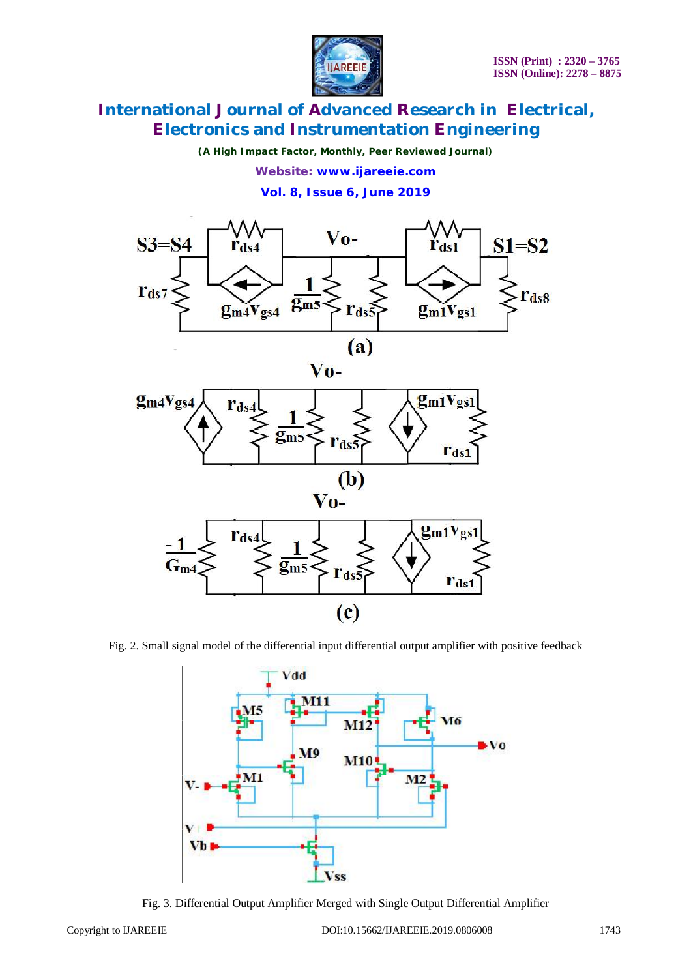

*(A High Impact Factor, Monthly, Peer Reviewed Journal)*

*Website: [www.ijareeie.com](http://www.ijareeie.com)*

**Vol. 8, Issue 6, June 2019**



Fig. 2. Small signal model of the differential input differential output amplifier with positive feedback



Fig. 3. Differential Output Amplifier Merged with Single Output Differential Amplifier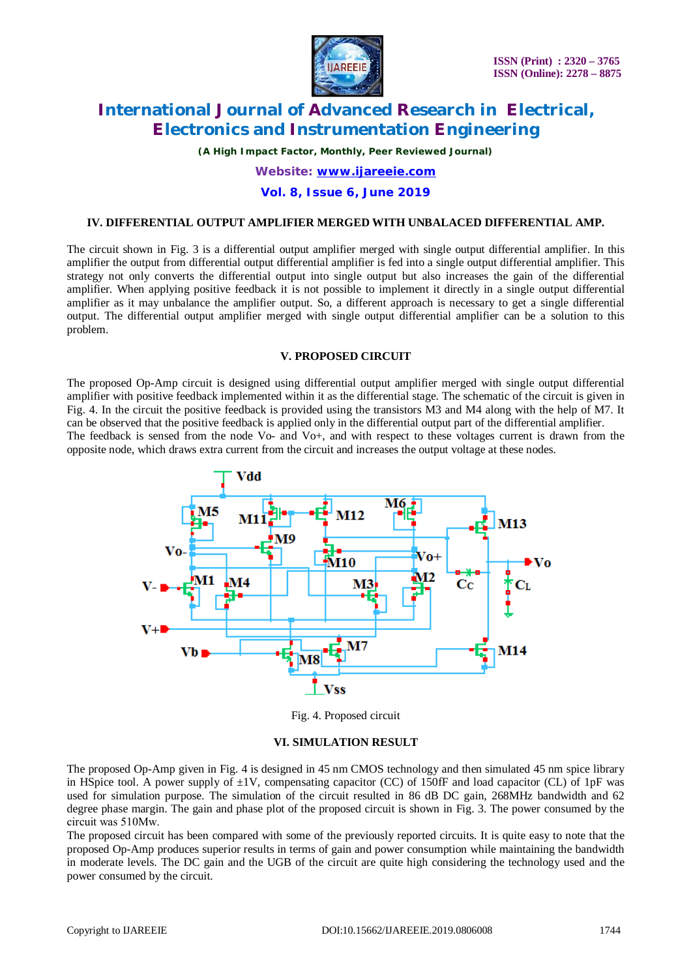

*(A High Impact Factor, Monthly, Peer Reviewed Journal)*

*Website: [www.ijareeie.com](http://www.ijareeie.com)*

### **Vol. 8, Issue 6, June 2019**

### **IV. DIFFERENTIAL OUTPUT AMPLIFIER MERGED WITH UNBALACED DIFFERENTIAL AMP.**

The circuit shown in Fig. 3 is a differential output amplifier merged with single output differential amplifier. In this amplifier the output from differential output differential amplifier is fed into a single output differential amplifier. This strategy not only converts the differential output into single output but also increases the gain of the differential amplifier. When applying positive feedback it is not possible to implement it directly in a single output differential amplifier as it may unbalance the amplifier output. So, a different approach is necessary to get a single differential output. The differential output amplifier merged with single output differential amplifier can be a solution to this problem.

#### **V. PROPOSED CIRCUIT**

The proposed Op-Amp circuit is designed using differential output amplifier merged with single output differential amplifier with positive feedback implemented within it as the differential stage. The schematic of the circuit is given in Fig. 4. In the circuit the positive feedback is provided using the transistors M3 and M4 along with the help of M7. It can be observed that the positive feedback is applied only in the differential output part of the differential amplifier. The feedback is sensed from the node Vo- and Vo+, and with respect to these voltages current is drawn from the opposite node, which draws extra current from the circuit and increases the output voltage at these nodes.



Fig. 4. Proposed circuit

#### **VI. SIMULATION RESULT**

The proposed Op-Amp given in Fig. 4 is designed in 45 nm CMOS technology and then simulated 45 nm spice library in HSpice tool. A power supply of  $\pm 1V$ , compensating capacitor (CC) of 150fF and load capacitor (CL) of 1pF was used for simulation purpose. The simulation of the circuit resulted in 86 dB DC gain, 268MHz bandwidth and 62 degree phase margin. The gain and phase plot of the proposed circuit is shown in Fig. 3. The power consumed by the circuit was 510Μw.

The proposed circuit has been compared with some of the previously reported circuits. It is quite easy to note that the proposed Op-Amp produces superior results in terms of gain and power consumption while maintaining the bandwidth in moderate levels. The DC gain and the UGB of the circuit are quite high considering the technology used and the power consumed by the circuit.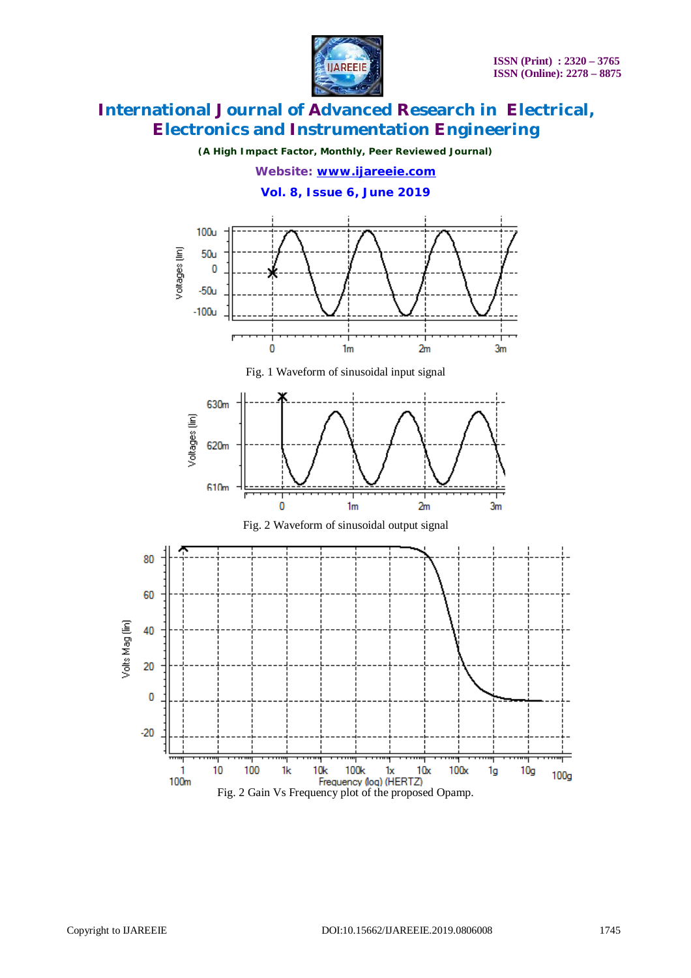

*(A High Impact Factor, Monthly, Peer Reviewed Journal)*

*Website: [www.ijareeie.com](http://www.ijareeie.com)*

**Vol. 8, Issue 6, June 2019**



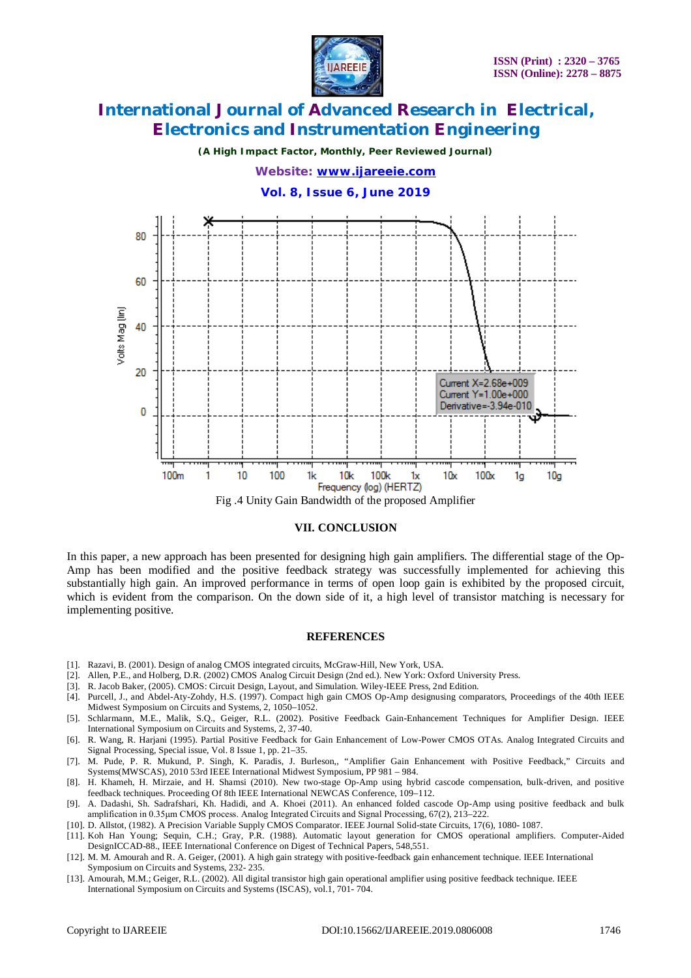

*(A High Impact Factor, Monthly, Peer Reviewed Journal)*

*Website: [www.ijareeie.com](http://www.ijareeie.com)*

**Vol. 8, Issue 6, June 2019**



#### **VII. CONCLUSION**

In this paper, a new approach has been presented for designing high gain amplifiers. The differential stage of the Op-Amp has been modified and the positive feedback strategy was successfully implemented for achieving this substantially high gain. An improved performance in terms of open loop gain is exhibited by the proposed circuit, which is evident from the comparison. On the down side of it, a high level of transistor matching is necessary for implementing positive.

#### **REFERENCES**

- [1]. Razavi, B. (2001). Design of analog CMOS integrated circuits, McGraw-Hill, New York, USA.
- [2]. Allen, P.E., and Holberg, D.R. (2002) CMOS Analog Circuit Design (2nd ed.). New York: Oxford University Press.
- [3]. R. Jacob Baker, (2005). CMOS: Circuit Design, Layout, and Simulation. Wiley-IEEE Press, 2nd Edition.
- [4]. Purcell, J., and Abdel-Aty-Zohdy, H.S. (1997). Compact high gain CMOS Op-Amp designusing comparators, Proceedings of the 40th IEEE Midwest Symposium on Circuits and Systems, 2, 1050–1052.
- [5]. Schlarmann, M.E., Malik, S.Q., Geiger, R.L. (2002). Positive Feedback Gain-Enhancement Techniques for Amplifier Design. IEEE International Symposium on Circuits and Systems, 2, 37-40.
- [6]. R. Wang, R. Harjani (1995). Partial Positive Feedback for Gain Enhancement of Low-Power CMOS OTAs. Analog Integrated Circuits and Signal Processing, Special issue, Vol. 8 Issue 1, pp. 21–35.
- [7]. M. Pude, P. R. Mukund, P. Singh, K. Paradis, J. Burleson,, "Amplifier Gain Enhancement with Positive Feedback," Circuits and Systems(MWSCAS), 2010 53rd IEEE International Midwest Symposium, PP 981 – 984.
- [8]. H. Khameh, H. Mirzaie, and H. Shamsi (2010). New two-stage Op-Amp using hybrid cascode compensation, bulk-driven, and positive feedback techniques. Proceeding Of 8th IEEE International NEWCAS Conference, 109–112.
- [9]. A. Dadashi, Sh. Sadrafshari, Kh. Hadidi, and A. Khoei (2011). An enhanced folded cascode Op-Amp using positive feedback and bulk amplification in 0.35μm CMOS process. Analog Integrated Circuits and Signal Processing, 67(2), 213–222.
- [10]. D. Allstot, (1982). A Precision Variable Supply CMOS Comparator. IEEE Journal Solid-state Circuits, 17(6), 1080- 1087.
- [11]. Koh Han Young; Sequin, C.H.; Gray, P.R. (1988). Automatic layout generation for CMOS operational amplifiers. Computer-Aided DesignICCAD-88., IEEE International Conference on Digest of Technical Papers, 548,551.
- [12]. M. M. Amourah and R. A. Geiger, (2001). A high gain strategy with positive-feedback gain enhancement technique. IEEE International Symposium on Circuits and Systems, 232- 235.
- [13]. Amourah, M.M.; Geiger, R.L. (2002). All digital transistor high gain operational amplifier using positive feedback technique. IEEE International Symposium on Circuits and Systems (ISCAS), vol.1, 701- 704.